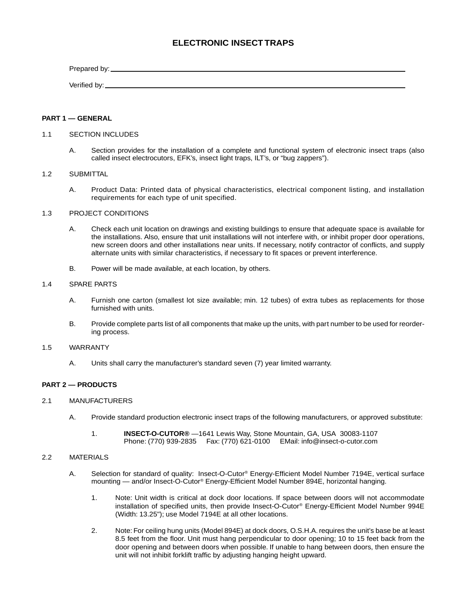## **ELECTRONIC INSECT TRAPS**

Prepared by: Verified by:

## **PART 1 — GENERAL**

#### 1.1 SECTION INCLUDES

A. Section provides for the installation of a complete and functional system of electronic insect traps (also called insect electrocutors, EFK's, insect light traps, ILT's, or "bug zappers").

#### 1.2 SUBMITTAL

A. Product Data: Printed data of physical characteristics, electrical component listing, and installation requirements for each type of unit specified.

#### 1.3 PROJECT CONDITIONS

- A. Check each unit location on drawings and existing buildings to ensure that adequate space is available for the installations. Also, ensure that unit installations will not interfere with, or inhibit proper door operations, new screen doors and other installations near units. If necessary, notify contractor of conflicts, and supply alternate units with similar characteristics, if necessary to fit spaces or prevent interference.
- B. Power will be made available, at each location, by others.

## 1.4 SPARE PARTS

- A. Furnish one carton (smallest lot size available; min. 12 tubes) of extra tubes as replacements for those furnished with units.
- B. Provide complete parts list of all components that make up the units, with part number to be used for reordering process.

#### 1.5 WARRANTY

A. Units shall carry the manufacturer's standard seven (7) year limited warranty.

#### **PART 2 — PRODUCTS**

#### 2.1 MANUFACTURERS

- A. Provide standard production electronic insect traps of the following manufacturers, or approved substitute:
	- 1. **INSECT-O-CUTOR®** —1641 Lewis Way, Stone Mountain, GA, USA 30083-1107 Phone: (770) 939-2835 Fax: (770) 621-0100 EMail: info@insect-o-cutor.com

#### 2.2 MATERIALS

- A. Selection for standard of quality: Insect-O-Cutor® Energy-Efficient Model Number 7194E, vertical surface mounting — and/or Insect-O-Cutor® Energy-Efficient Model Number 894E, horizontal hanging.
	- 1. Note: Unit width is critical at dock door locations. If space between doors will not accommodate installation of specified units, then provide Insect-O-Cutor® Energy-Efficient Model Number 994E (Width: 13.25"); use Model 7194E at all other locations.
	- 2. Note: For ceiling hung units (Model 894E) at dock doors, O.S.H.A. requires the unit's base be at least 8.5 feet from the floor. Unit must hang perpendicular to door opening; 10 to 15 feet back from the door opening and between doors when possible. If unable to hang between doors, then ensure the unit will not inhibit forklift traffic by adjusting hanging height upward.